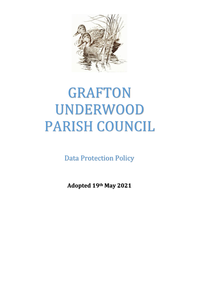

# GRAFTON UNDERWOOD PARISH COUNCIL

Data Protection Policy

**Adopted 19th May 2021**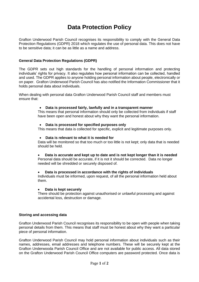# **Data Protection Policy**

Grafton Underwood Parish Council recognises its responsibility to comply with the General Data Protection Regulations (GDPR) 2018 which regulates the use of personal data. This does not have to be sensitive data; it can be as little as a name and address.

# **General Data Protection Regulations (GDPR)**

The GDPR sets out high standards for the handling of personal information and protecting individuals' rights for privacy. It also regulates how personal information can be collected, handled and used. The GDPR applies to anyone holding personal information about people, electronically or on paper. Grafton Underwood Parish Council has also notified the Information Commissioner that it holds personal data about individuals.

When dealing with personal data Grafton Underwood Parish Council staff and members must ensure that:

#### • **Data is processed fairly, lawfully and in a transparent manner**

This means that personal information should only be collected from individuals if staff have been open and honest about why they want the personal information.

#### • **Data is processed for specified purposes only**

This means that data is collected for specific, explicit and legitimate purposes only.

#### • **Data is relevant to what it is needed for**

Data will be monitored so that too much or too little is not kept; only data that is needed should be held.

• **Data is accurate and kept up to date and is not kept longer than it is needed**

Personal data should be accurate, if it is not it should be corrected. Data no longer needed will be shredded or securely disposed of.

## • **Data is processed in accordance with the rights of individuals**

Individuals must be informed, upon request, of all the personal information held about them.

#### • **Data is kept securely**

There should be protection against unauthorised or unlawful processing and against accidental loss, destruction or damage.

## **Storing and accessing data**

Grafton Underwood Parish Council recognises its responsibility to be open with people when taking personal details from them. This means that staff must be honest about why they want a particular piece of personal information.

Grafton Underwood Parish Council may hold personal information about individuals such as their names, addresses, email addresses and telephone numbers. These will be securely kept at the Grafton Underwooda Parish Council Office and are not available for public access. All data stored on the Grafton Underwood Parish Council Office computers are password protected. Once data is